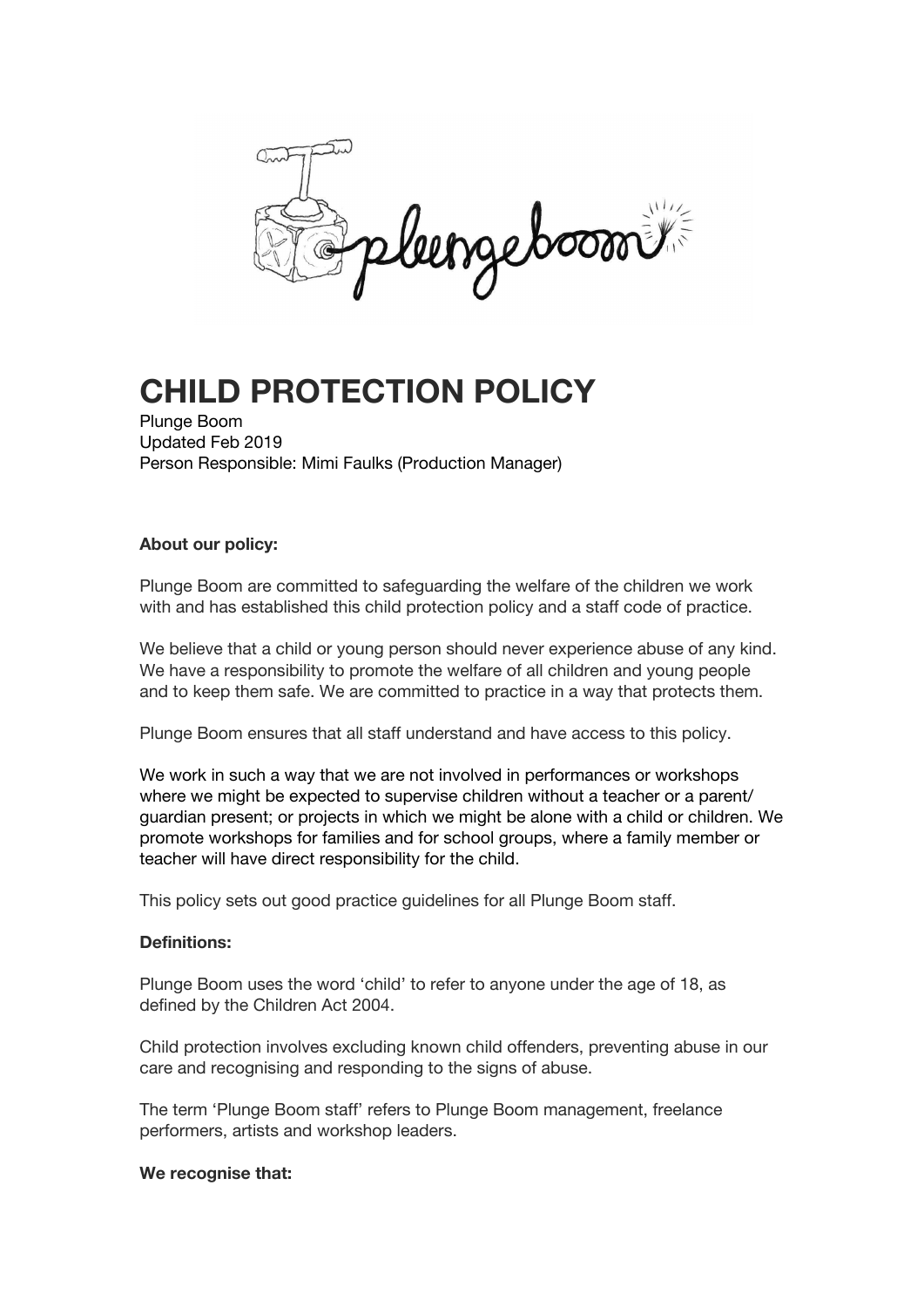Leongeboom

# **CHILD PROTECTION POLICY**

Plunge Boom Updated Feb 2019 Person Responsible: Mimi Faulks (Production Manager)

# **About our policy:**

Plunge Boom are committed to safeguarding the welfare of the children we work with and has established this child protection policy and a staff code of practice.

We believe that a child or young person should never experience abuse of any kind. We have a responsibility to promote the welfare of all children and young people and to keep them safe. We are committed to practice in a way that protects them.

Plunge Boom ensures that all staff understand and have access to this policy.

We work in such a way that we are not involved in performances or workshops where we might be expected to supervise children without a teacher or a parent/ guardian present; or projects in which we might be alone with a child or children. We promote workshops for families and for school groups, where a family member or teacher will have direct responsibility for the child.

This policy sets out good practice guidelines for all Plunge Boom staff.

# **Definitions:**

Plunge Boom uses the word 'child' to refer to anyone under the age of 18, as defined by the Children Act 2004.

Child protection involves excluding known child offenders, preventing abuse in our care and recognising and responding to the signs of abuse.

The term 'Plunge Boom staff' refers to Plunge Boom management, freelance performers, artists and workshop leaders.

#### **We recognise that:**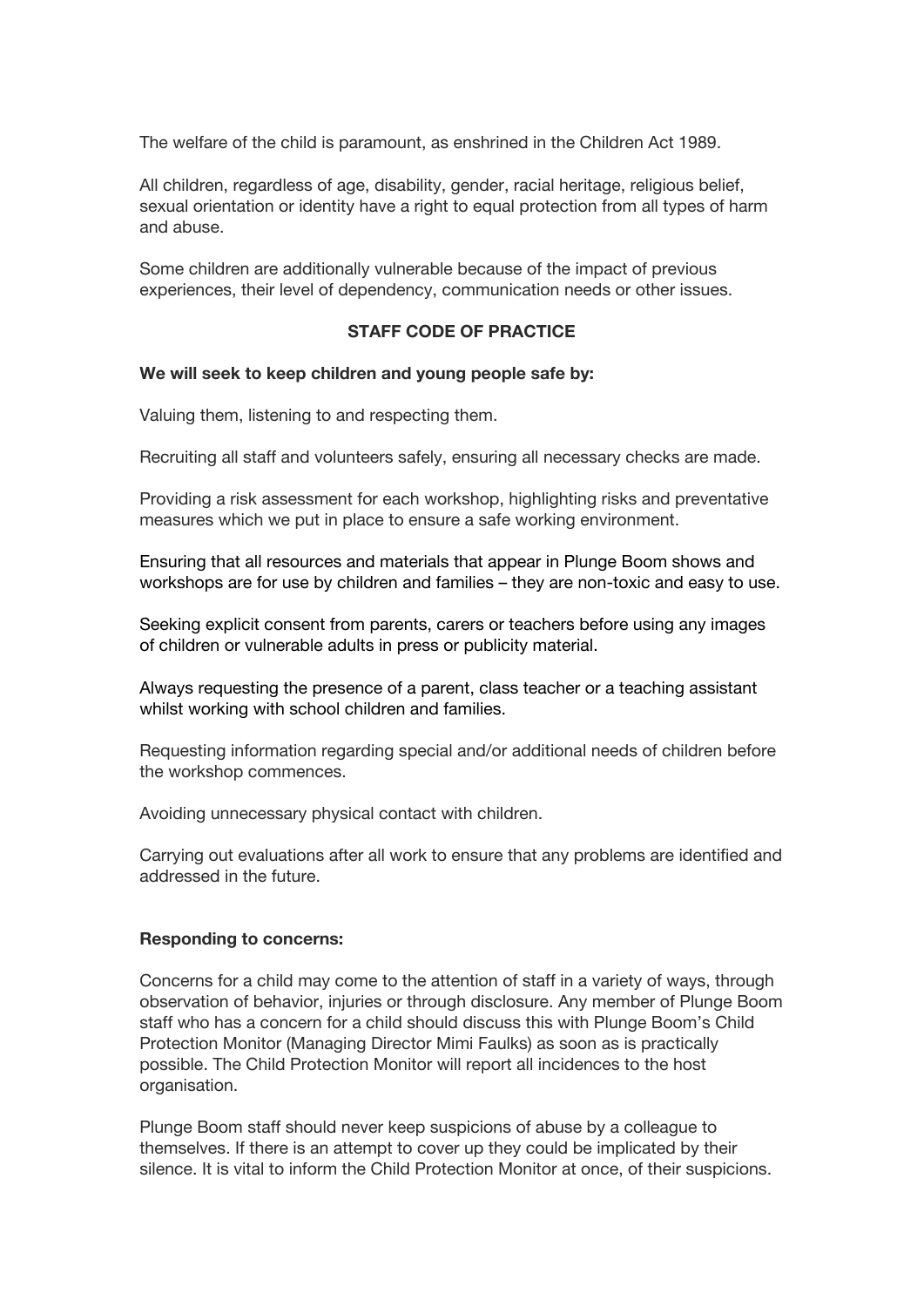The welfare of the child is paramount, as enshrined in the Children Act 1989.

All children, regardless of age, disability, gender, racial heritage, religious belief, sexual orientation or identity have a right to equal protection from all types of harm and abuse.

Some children are additionally vulnerable because of the impact of previous experiences, their level of dependency, communication needs or other issues.

## **STAFF CODE OF PRACTICE**

#### **We will seek to keep children and young people safe by:**

Valuing them, listening to and respecting them.

Recruiting all staff and volunteers safely, ensuring all necessary checks are made.

Providing a risk assessment for each workshop, highlighting risks and preventative measures which we put in place to ensure a safe working environment.

Ensuring that all resources and materials that appear in Plunge Boom shows and workshops are for use by children and families – they are non-toxic and easy to use.

Seeking explicit consent from parents, carers or teachers before using any images of children or vulnerable adults in press or publicity material.

Always requesting the presence of a parent, class teacher or a teaching assistant whilst working with school children and families.

Requesting information regarding special and/or additional needs of children before the workshop commences.

Avoiding unnecessary physical contact with children.

Carrying out evaluations after all work to ensure that any problems are identified and addressed in the future.

#### **Responding to concerns:**

Concerns for a child may come to the attention of staff in a variety of ways, through observation of behavior, injuries or through disclosure. Any member of Plunge Boom staff who has a concern for a child should discuss this with Plunge Boom's Child Protection Monitor (Managing Director Mimi Faulks) as soon as is practically possible. The Child Protection Monitor will report all incidences to the host organisation.

Plunge Boom staff should never keep suspicions of abuse by a colleague to themselves. If there is an attempt to cover up they could be implicated by their silence. It is vital to inform the Child Protection Monitor at once, of their suspicions.